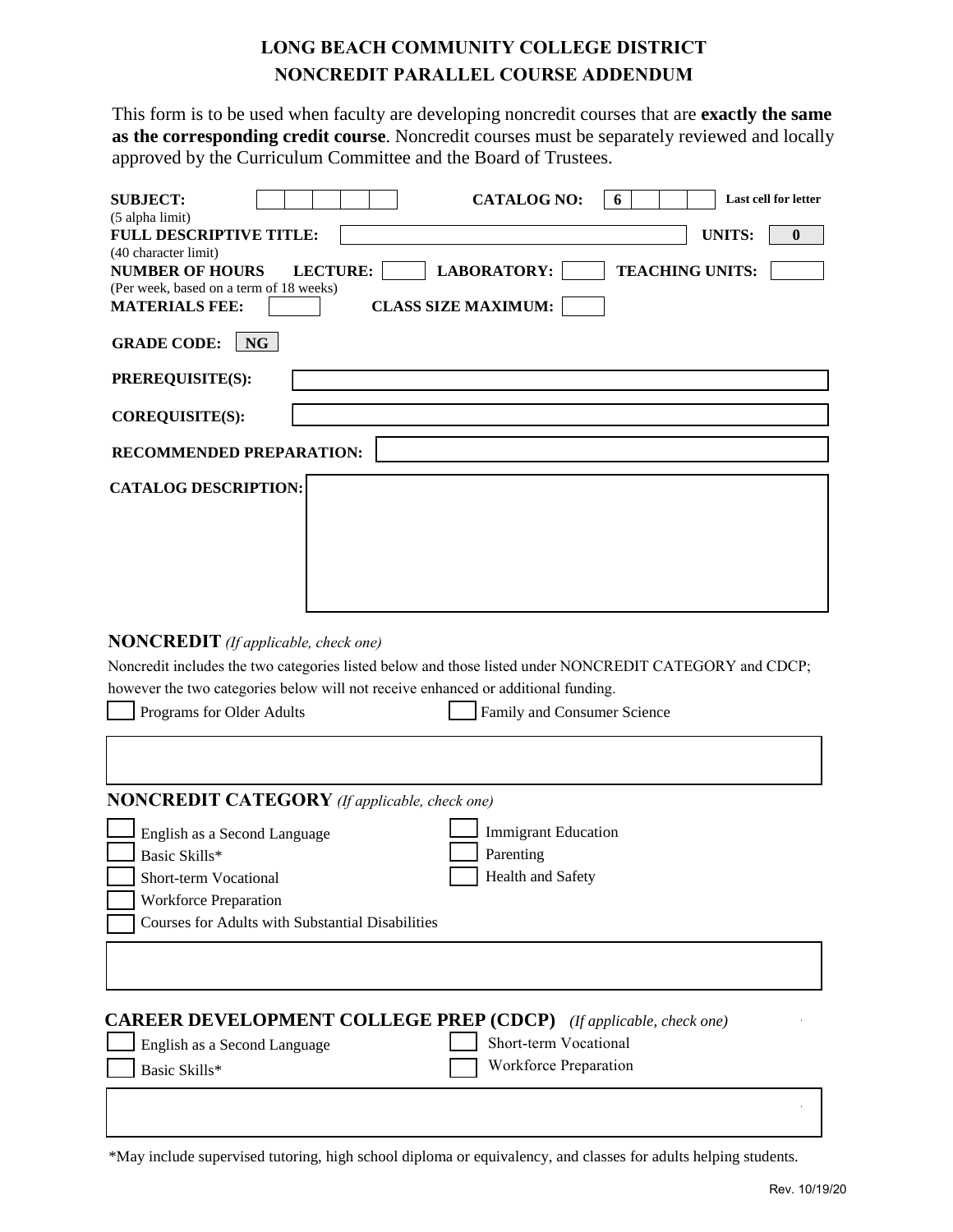## **LONG BEACH COMMUNITY COLLEGE DISTRICT NONCREDIT PARALLEL COURSE ADDENDUM**

This form is to be used when faculty are developing noncredit courses that are **exactly the same as the corresponding credit course**. Noncredit courses must be separately reviewed and locally approved by the Curriculum Committee and the Board of Trustees.

| <b>SUBJECT:</b><br><b>CATALOG NO:</b><br>Last cell for letter<br>6                                     |  |  |
|--------------------------------------------------------------------------------------------------------|--|--|
| (5 alpha limit)                                                                                        |  |  |
| <b>UNITS:</b><br><b>FULL DESCRIPTIVE TITLE:</b><br>$\bf{0}$<br>(40 character limit)                    |  |  |
| <b>LECTURE:</b><br><b>LABORATORY:</b><br><b>NUMBER OF HOURS</b><br><b>TEACHING UNITS:</b>              |  |  |
| (Per week, based on a term of 18 weeks)                                                                |  |  |
| <b>MATERIALS FEE:</b><br><b>CLASS SIZE MAXIMUM:</b>                                                    |  |  |
| <b>GRADE CODE:</b><br><b>NG</b>                                                                        |  |  |
| PREREQUISITE(S):                                                                                       |  |  |
| COREQUISITE(S):                                                                                        |  |  |
| RECOMMENDED PREPARATION:                                                                               |  |  |
| <b>CATALOG DESCRIPTION:</b>                                                                            |  |  |
| <b>NONCREDIT</b> (If applicable, check one)                                                            |  |  |
| Noncredit includes the two categories listed below and those listed under NONCREDIT CATEGORY and CDCP; |  |  |
| however the two categories below will not receive enhanced or additional funding.                      |  |  |
| Programs for Older Adults<br>Family and Consumer Science                                               |  |  |
|                                                                                                        |  |  |
| <b>NONCREDIT CATEGORY</b> (If applicable, check one)                                                   |  |  |
| <b>Immigrant Education</b><br>English as a Second Language                                             |  |  |
| Basic Skills*<br>Parenting                                                                             |  |  |
| Health and Safety<br>Short-term Vocational                                                             |  |  |
| <b>Workforce Preparation</b>                                                                           |  |  |

Courses for Adults with Substantial Disabilities **CAREER DEVELOPMENT COLLEGE PREP (CDCP)** *(If applicable, check one)* English as a Second Language Basic Skills\* Short-term Vocational Workforce Preparation

\*May include supervised tutoring, high school diploma or equivalency, and classes for adults helping students.